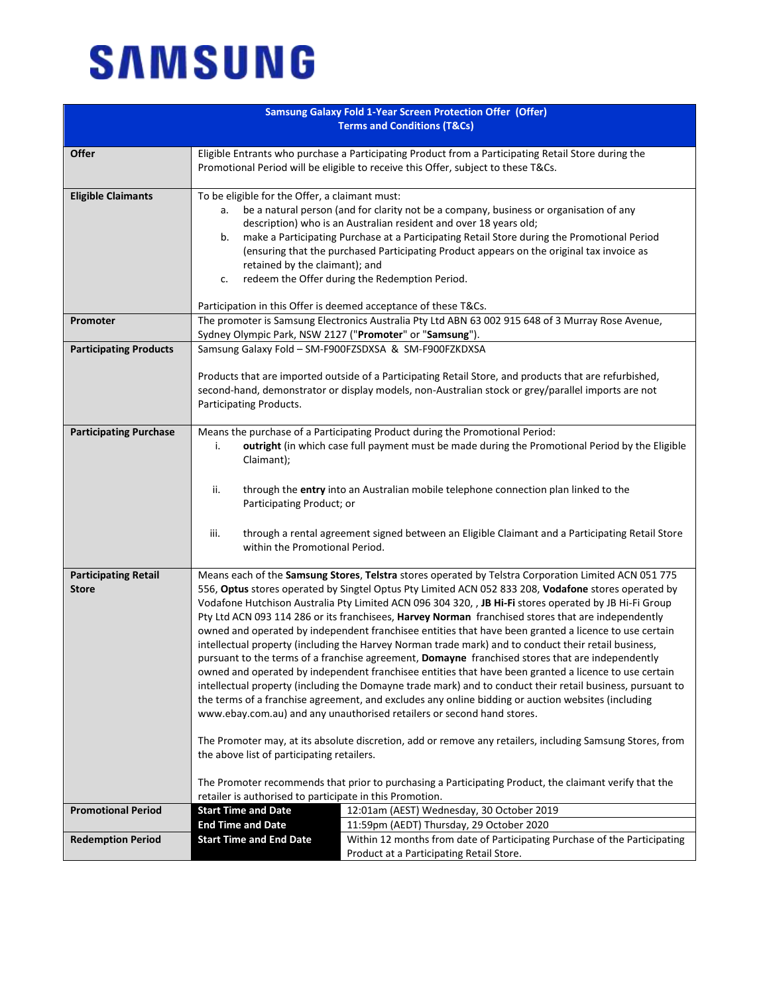## **SAMSUNG**

| <b>Samsung Galaxy Fold 1-Year Screen Protection Offer (Offer)</b> |                                                                                                                                                                                                                                                                                                                                                                                                                                                                                                                                                                                                                                                                                                                                                                                                                                |                                                                                                                                                                                                                                                                                                                                                                                                           |  |
|-------------------------------------------------------------------|--------------------------------------------------------------------------------------------------------------------------------------------------------------------------------------------------------------------------------------------------------------------------------------------------------------------------------------------------------------------------------------------------------------------------------------------------------------------------------------------------------------------------------------------------------------------------------------------------------------------------------------------------------------------------------------------------------------------------------------------------------------------------------------------------------------------------------|-----------------------------------------------------------------------------------------------------------------------------------------------------------------------------------------------------------------------------------------------------------------------------------------------------------------------------------------------------------------------------------------------------------|--|
| <b>Terms and Conditions (T&amp;Cs)</b>                            |                                                                                                                                                                                                                                                                                                                                                                                                                                                                                                                                                                                                                                                                                                                                                                                                                                |                                                                                                                                                                                                                                                                                                                                                                                                           |  |
|                                                                   |                                                                                                                                                                                                                                                                                                                                                                                                                                                                                                                                                                                                                                                                                                                                                                                                                                |                                                                                                                                                                                                                                                                                                                                                                                                           |  |
| Offer                                                             |                                                                                                                                                                                                                                                                                                                                                                                                                                                                                                                                                                                                                                                                                                                                                                                                                                | Eligible Entrants who purchase a Participating Product from a Participating Retail Store during the<br>Promotional Period will be eligible to receive this Offer, subject to these T&Cs.                                                                                                                                                                                                                  |  |
| <b>Eligible Claimants</b>                                         | To be eligible for the Offer, a claimant must:<br>а.<br>b.<br>retained by the claimant); and<br>c.                                                                                                                                                                                                                                                                                                                                                                                                                                                                                                                                                                                                                                                                                                                             | be a natural person (and for clarity not be a company, business or organisation of any<br>description) who is an Australian resident and over 18 years old;<br>make a Participating Purchase at a Participating Retail Store during the Promotional Period<br>(ensuring that the purchased Participating Product appears on the original tax invoice as<br>redeem the Offer during the Redemption Period. |  |
|                                                                   | Participation in this Offer is deemed acceptance of these T&Cs.                                                                                                                                                                                                                                                                                                                                                                                                                                                                                                                                                                                                                                                                                                                                                                |                                                                                                                                                                                                                                                                                                                                                                                                           |  |
| Promoter                                                          |                                                                                                                                                                                                                                                                                                                                                                                                                                                                                                                                                                                                                                                                                                                                                                                                                                | The promoter is Samsung Electronics Australia Pty Ltd ABN 63 002 915 648 of 3 Murray Rose Avenue,                                                                                                                                                                                                                                                                                                         |  |
| <b>Participating Products</b>                                     | Sydney Olympic Park, NSW 2127 ("Promoter" or "Samsung").<br>Samsung Galaxy Fold - SM-F900FZSDXSA & SM-F900FZKDXSA                                                                                                                                                                                                                                                                                                                                                                                                                                                                                                                                                                                                                                                                                                              |                                                                                                                                                                                                                                                                                                                                                                                                           |  |
|                                                                   |                                                                                                                                                                                                                                                                                                                                                                                                                                                                                                                                                                                                                                                                                                                                                                                                                                |                                                                                                                                                                                                                                                                                                                                                                                                           |  |
|                                                                   | Participating Products.                                                                                                                                                                                                                                                                                                                                                                                                                                                                                                                                                                                                                                                                                                                                                                                                        | Products that are imported outside of a Participating Retail Store, and products that are refurbished,<br>second-hand, demonstrator or display models, non-Australian stock or grey/parallel imports are not                                                                                                                                                                                              |  |
| <b>Participating Purchase</b>                                     | i.<br>Claimant);                                                                                                                                                                                                                                                                                                                                                                                                                                                                                                                                                                                                                                                                                                                                                                                                               | Means the purchase of a Participating Product during the Promotional Period:<br>outright (in which case full payment must be made during the Promotional Period by the Eligible                                                                                                                                                                                                                           |  |
|                                                                   | ii.<br>Participating Product; or                                                                                                                                                                                                                                                                                                                                                                                                                                                                                                                                                                                                                                                                                                                                                                                               | through the entry into an Australian mobile telephone connection plan linked to the                                                                                                                                                                                                                                                                                                                       |  |
|                                                                   | iii.<br>within the Promotional Period.                                                                                                                                                                                                                                                                                                                                                                                                                                                                                                                                                                                                                                                                                                                                                                                         | through a rental agreement signed between an Eligible Claimant and a Participating Retail Store                                                                                                                                                                                                                                                                                                           |  |
| <b>Participating Retail</b><br><b>Store</b>                       |                                                                                                                                                                                                                                                                                                                                                                                                                                                                                                                                                                                                                                                                                                                                                                                                                                | Means each of the Samsung Stores, Telstra stores operated by Telstra Corporation Limited ACN 051 775<br>556, Optus stores operated by Singtel Optus Pty Limited ACN 052 833 208, Vodafone stores operated by<br>Vodafone Hutchison Australia Pty Limited ACN 096 304 320, , JB Hi-Fi stores operated by JB Hi-Fi Group                                                                                    |  |
|                                                                   | Pty Ltd ACN 093 114 286 or its franchisees, Harvey Norman franchised stores that are independently<br>owned and operated by independent franchisee entities that have been granted a licence to use certain<br>intellectual property (including the Harvey Norman trade mark) and to conduct their retail business,<br>pursuant to the terms of a franchise agreement, Domayne franchised stores that are independently<br>owned and operated by independent franchisee entities that have been granted a licence to use certain<br>intellectual property (including the Domayne trade mark) and to conduct their retail business, pursuant to<br>the terms of a franchise agreement, and excludes any online bidding or auction websites (including<br>www.ebay.com.au) and any unauthorised retailers or second hand stores. |                                                                                                                                                                                                                                                                                                                                                                                                           |  |
|                                                                   | the above list of participating retailers.                                                                                                                                                                                                                                                                                                                                                                                                                                                                                                                                                                                                                                                                                                                                                                                     | The Promoter may, at its absolute discretion, add or remove any retailers, including Samsung Stores, from                                                                                                                                                                                                                                                                                                 |  |
|                                                                   | retailer is authorised to participate in this Promotion.                                                                                                                                                                                                                                                                                                                                                                                                                                                                                                                                                                                                                                                                                                                                                                       | The Promoter recommends that prior to purchasing a Participating Product, the claimant verify that the                                                                                                                                                                                                                                                                                                    |  |
| <b>Promotional Period</b>                                         | <b>Start Time and Date</b>                                                                                                                                                                                                                                                                                                                                                                                                                                                                                                                                                                                                                                                                                                                                                                                                     | 12:01am (AEST) Wednesday, 30 October 2019                                                                                                                                                                                                                                                                                                                                                                 |  |
|                                                                   | <b>End Time and Date</b>                                                                                                                                                                                                                                                                                                                                                                                                                                                                                                                                                                                                                                                                                                                                                                                                       | 11:59pm (AEDT) Thursday, 29 October 2020                                                                                                                                                                                                                                                                                                                                                                  |  |
| <b>Redemption Period</b>                                          | <b>Start Time and End Date</b>                                                                                                                                                                                                                                                                                                                                                                                                                                                                                                                                                                                                                                                                                                                                                                                                 | Within 12 months from date of Participating Purchase of the Participating<br>Product at a Participating Retail Store.                                                                                                                                                                                                                                                                                     |  |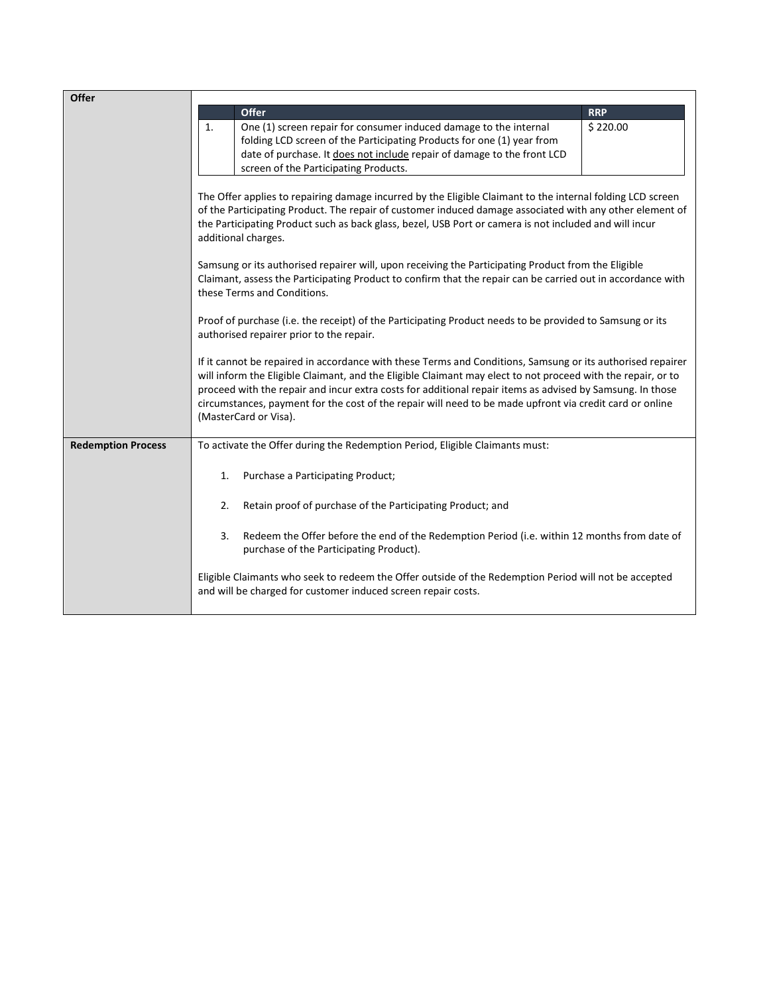| Offer                     |                                                                                                                                                                                                                                                                                                                                                                                                                                                                                                                                                                                                                                                                                                                                                                      |            |  |
|---------------------------|----------------------------------------------------------------------------------------------------------------------------------------------------------------------------------------------------------------------------------------------------------------------------------------------------------------------------------------------------------------------------------------------------------------------------------------------------------------------------------------------------------------------------------------------------------------------------------------------------------------------------------------------------------------------------------------------------------------------------------------------------------------------|------------|--|
|                           | Offer                                                                                                                                                                                                                                                                                                                                                                                                                                                                                                                                                                                                                                                                                                                                                                | <b>RRP</b> |  |
|                           | $\mathbf{1}$ .<br>One (1) screen repair for consumer induced damage to the internal                                                                                                                                                                                                                                                                                                                                                                                                                                                                                                                                                                                                                                                                                  | \$220.00   |  |
|                           | folding LCD screen of the Participating Products for one (1) year from                                                                                                                                                                                                                                                                                                                                                                                                                                                                                                                                                                                                                                                                                               |            |  |
|                           | date of purchase. It does not include repair of damage to the front LCD                                                                                                                                                                                                                                                                                                                                                                                                                                                                                                                                                                                                                                                                                              |            |  |
|                           | screen of the Participating Products.                                                                                                                                                                                                                                                                                                                                                                                                                                                                                                                                                                                                                                                                                                                                |            |  |
|                           | The Offer applies to repairing damage incurred by the Eligible Claimant to the internal folding LCD screen<br>of the Participating Product. The repair of customer induced damage associated with any other element of<br>the Participating Product such as back glass, bezel, USB Port or camera is not included and will incur<br>additional charges.<br>Samsung or its authorised repairer will, upon receiving the Participating Product from the Eligible<br>Claimant, assess the Participating Product to confirm that the repair can be carried out in accordance with<br>these Terms and Conditions.<br>Proof of purchase (i.e. the receipt) of the Participating Product needs to be provided to Samsung or its<br>authorised repairer prior to the repair. |            |  |
|                           | If it cannot be repaired in accordance with these Terms and Conditions, Samsung or its authorised repairer<br>will inform the Eligible Claimant, and the Eligible Claimant may elect to not proceed with the repair, or to<br>proceed with the repair and incur extra costs for additional repair items as advised by Samsung. In those<br>circumstances, payment for the cost of the repair will need to be made upfront via credit card or online<br>(MasterCard or Visa).                                                                                                                                                                                                                                                                                         |            |  |
| <b>Redemption Process</b> | To activate the Offer during the Redemption Period, Eligible Claimants must:                                                                                                                                                                                                                                                                                                                                                                                                                                                                                                                                                                                                                                                                                         |            |  |
|                           | Purchase a Participating Product;<br>1.                                                                                                                                                                                                                                                                                                                                                                                                                                                                                                                                                                                                                                                                                                                              |            |  |
|                           | Retain proof of purchase of the Participating Product; and<br>2.                                                                                                                                                                                                                                                                                                                                                                                                                                                                                                                                                                                                                                                                                                     |            |  |
|                           | 3.<br>Redeem the Offer before the end of the Redemption Period (i.e. within 12 months from date of<br>purchase of the Participating Product).                                                                                                                                                                                                                                                                                                                                                                                                                                                                                                                                                                                                                        |            |  |
|                           | Eligible Claimants who seek to redeem the Offer outside of the Redemption Period will not be accepted<br>and will be charged for customer induced screen repair costs.                                                                                                                                                                                                                                                                                                                                                                                                                                                                                                                                                                                               |            |  |